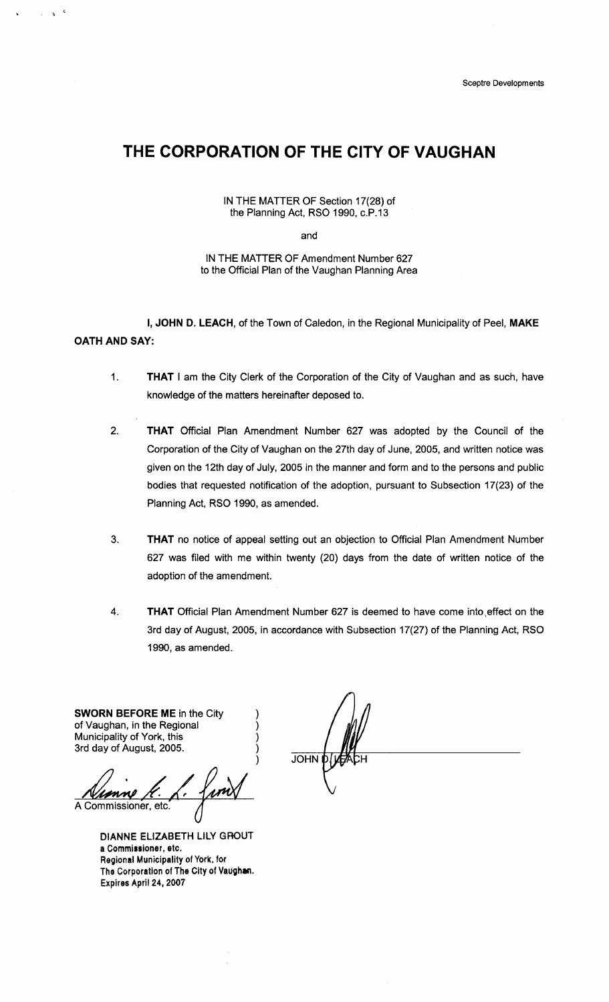# **THE CORPORATION OF THE CITY OF VAUGHAN**

IN THE MATTER OF Section 17(28) of the Planning Act, RSO 1990, c.P.13

and

IN THE MATTER OF Amendment Number 627 to the Official Plan of the Vaughan Planning Area

I, JOHN D. LEACH, of the Town of Caledon, in the Regional Municipality of Peel, MAKE OATH AND SAY:

- 1. THAT I am the City Clerk of the Corporation of the City of Vaughan and as such, have knowledge of the matters hereinafter deposed to.
- 2. THAT Official Plan Amendment Number 627 was adopted by the Council of the Corporation of the City of Vaughan on the 27th day of June, 2005, and written notice was given on the 12th day of July, 2005 in the manner and form and to the persons and public bodies that requested notification of the adoption, pursuant to Subsection 17(23) of the Planning Act, RSO 1990, as amended.
- 3. THAT no notice of appeal setting out an objection to Official Plan Amendment Number 627 was filed with me within twenty (20) days from the date of written notice of the adoption of the amendment.
- 4. THAT Official Plan Amendment Number 627 is deemed to have come into ,effect on the 3rd day of August, 2005, in accordance with Subsection 17(27) of the Planning Act, RSO 1990, as amended.

) ) ) )

SWORN BEFORE ME in the City of Vaughan, in the Regional Municipality of York, this 3rd day of August, 2005.

 $\mathbf{s}=\mathbf{0}$ 

A Commissioner, etc.

DIANNE ELIZABETH LILY GROUT a Commissioner, etc. Regional Municipality of York. for The Corporation of The City of Vaughan. Expires April 24, *2007* 

) JOHN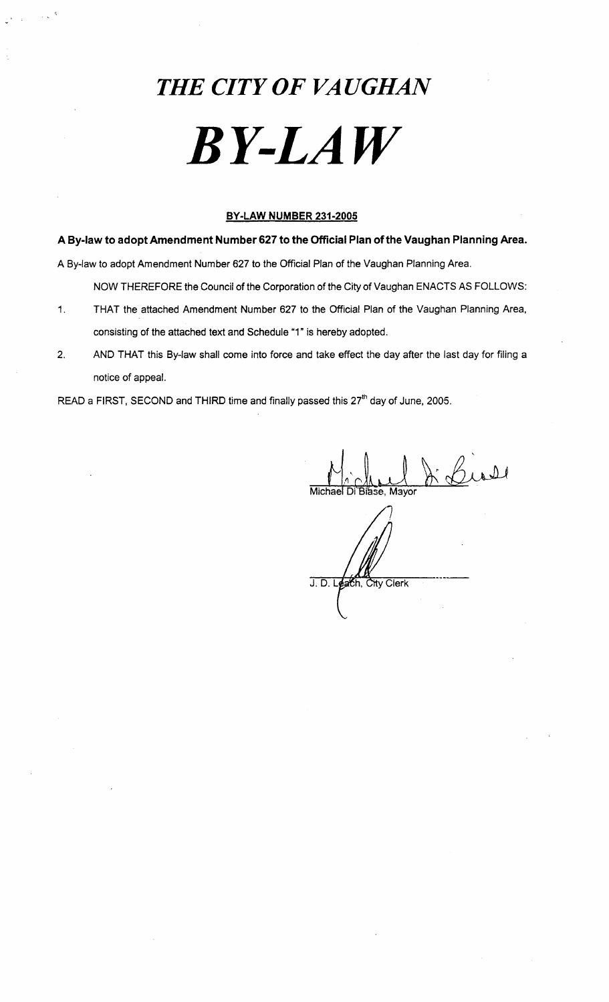# *THE CITY OF VAUGHAN BY-LAW*

# **BY-LAW NUMBER 231-2005**

**A By-law to adopt Amendment Number 627 to the Official Plan of the Vaughan Planning Area.** 

A By-law to adopt Amendment Number 627 to the Official Plan of the Vaughan Planning Area.

NOW THEREFORE the Council of the Corporation of the City of Vaughan ENACTS AS FOLLOWS:

- 1. THAT the attached Amendment Number 627 to the Official Plan of the Vaughan Planning Area, consisting of the attached text and Schedule "1" is hereby adopted.
- 2. AND THAT this By-law shall come into force and take effect the day after the last day for filing a notice of appeal.

READ a FIRST, SECOND and THIRD time and finally passed this *2ih* day of June, 2005.

 $\frac{\partial}{\partial x}$  Cross

 $J. D. L$ each. City Clerk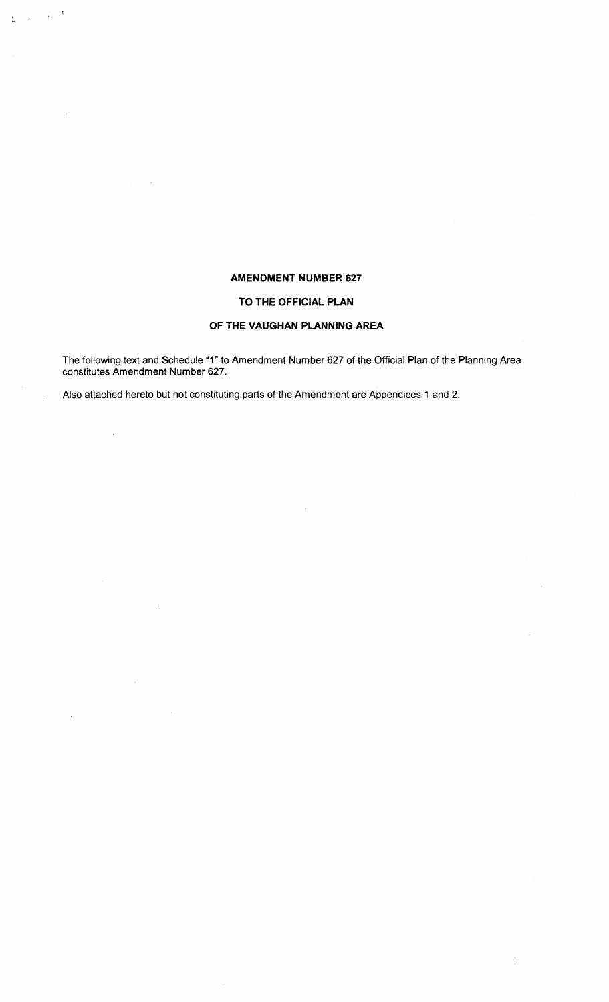# **AMENDMENT NUMBER 627**

## **TO THE OFFICIAL PLAN**

# **OF THE VAUGHAN PLANNING AREA**

The following text and Schedule "1" to Amendment Number 627 of the Official Plan of the Planning Area constitutes Amendment Number 627.

 $\ddot{\phantom{a}}$ 

Also attached hereto but not constituting parts of the Amendment are Appendices 1 and 2.

 $\label{eq:2.1} \frac{1}{\sqrt{2}}\left(\frac{1}{\sqrt{2}}\right)^{1/2}\left(\frac{1}{2}\right)^{1/2}$ 

 $\mathcal{L}^{\mathcal{A}}$ 

 $\bar{\Delta}$ 

 $\frac{1}{24}$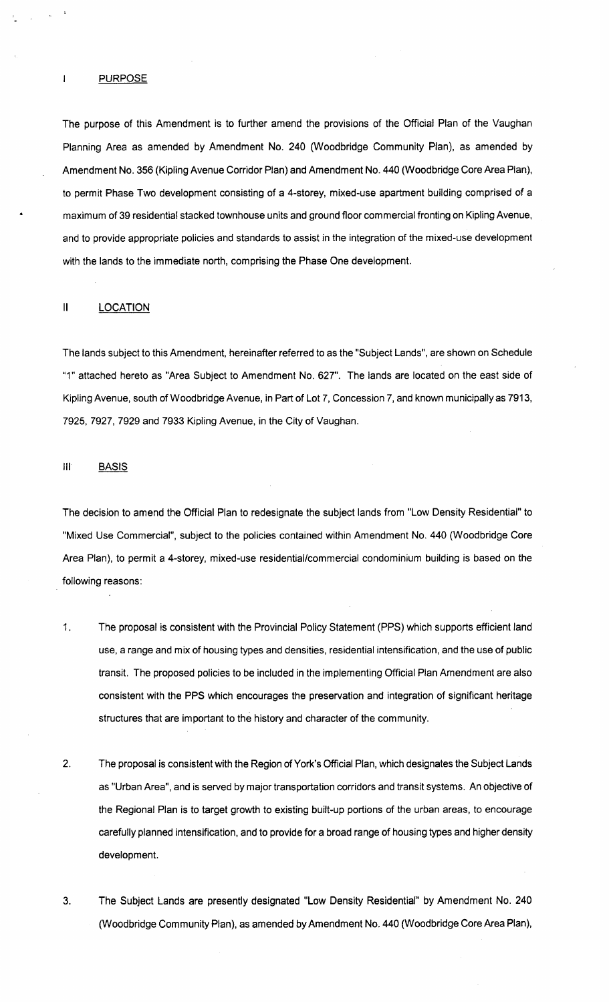#### **PURPOSE**

 $\mathbf{I}$ 

The purpose of this Amendment is to further amend the provisions of the Official Plan of the Vaughan Planning Area as amended by Amendment No. 240 (Woodbridge Community Plan), as amended by Amendment No. 356 (Kipling Avenue Corridor Plan) and Amendment No. 440 (Woodbridge Core Area Plan), to permit Phase Two development consisting of a 4-storey, mixed-use apartment building comprised of a maximum of 39 residential stacked townhouse units and ground floor commercial fronting on Kipling Avenue, and to provide appropriate policies and standards to assist in the integration of the mixed-use development with the lands to the immediate north, comprising the Phase One development.

#### II LOCATION

The lands subject to this Amendment, hereinafter referred to as the "Subject Lands", are shown on Schedule "1" attached hereto as "Area Subject to Amendment No. 627". The lands are located on the east side of Kipling Avenue, south of Woodbridge Avenue, in Part of Lot 7, Concession 7, and known municipally as 7913, 7925, 7927, 7929 and 7933 Kipling Avenue, in the City of Vaughan.

### III BASIS

The decision to amend the Official Plan to redesignate the subject lands from "Low Density Residential" to "Mixed Use Commercial", subject to the policies contained within Amendment No. 440 (Woodbridge Core Area Plan), to permit a 4-storey, mixed-use residential/commercial condominium building is based on the following reasons:

- 1. The proposal is consistent with the Provincial Policy Statement (PPS) which supports efficient land use, a range and mix of housing types and densities, residential intensification, and the use of public transit. The proposed policies to be included in the implementing Official Plan Amendment are also consistent with the PPS which encourages the preservation and integration of significant heritage structures that are important to the history and character of the community.
- 2. The proposal is consistent with the Region of York's Official Plan, which designates the Subject Lands as "Urban Area", and is served by major transportation corridors and transit systems. An objective of the Regional Plan is to target growth to existing built-up portions of the urban areas, to encourage carefully planned intensification, and to provide for a broad range of housing types and higher density development.
- 3. The Subject Lands are presently designated "Low Density Residential" by Amendment No. 240 (Woodbridge Community Plan), as amended by Amendment No. 440 (Woodbridge Core Area Plan),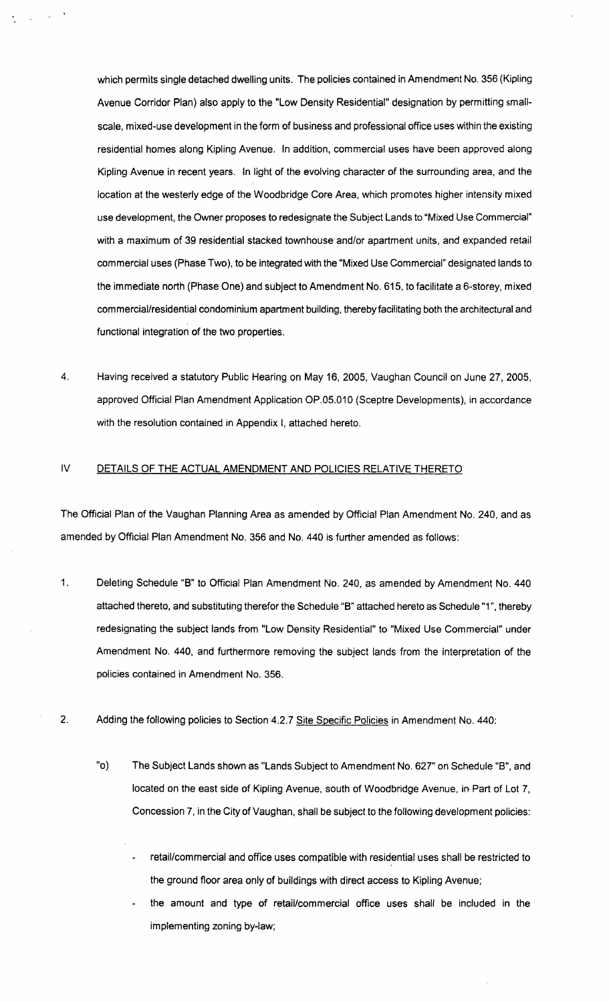which permits single detached dwelling units. The policies contained in Amendment No. 356 (Kipling Avenue Corridor Plan) also apply to the "Low Density Residential" designation by permitting smallscale, mixed-use development in the form of business and professional office uses within the existing residential homes along Kipling Avenue. In addition, commercial uses have been approved along Kipling Avenue in recent years. In light of the evolving character of the surrounding area, and the location at the westerly edge of the Woodbridge Core Area, which promotes higher intensity mixed use development, the Owner proposes to redesignate the Subject Lands to "Mixed Use Commercial" with a maximum of 39 residential stacked townhouse and/or apartment units, and expanded retail commercial uses (Phase Two), to be integrated with the "Mixed Use Commercial" deSignated lands to the immediate north (Phase One) and subject to Amendment No. 615, to facilitate a 6-storey, mixed commercial/residential condominium apartment building, thereby facilitating both the architectural and functional integration of the two properties.

4. Having received a statutory Public Hearing on May 16,2005, Vaughan Council on June 27,2005, approved Official Plan Amendment Application OP.05.010 (Sceptre Developments), in accordance with the resolution contained in Appendix I, attached hereto.

# IV DETAILS OF THE ACTUAL AMENDMENT AND POLICIES RELATIVE THERETO

The Official Plan of the Vaughan Planning Area as amended by Official Plan Amendment No. 240, and as amended by Official Plan Amendment No. 356 and No. 440 is further amended as follows:

- 1. Deleting Schedule "B" to Official Plan Amendment No. 240, as amended by Amendment No. 440 attached thereto, and substituting therefor the Schedule "B" attached hereto as Schedule "1", thereby redesignating the subject lands from "Low Density Residential" to "Mixed Use Commercial" under Amendment No. 440, and furthermore removing the subject lands from the interpretation of the policies contained in Amendment No. 356.
- 2. Adding the following policies to Section 4.2.7 Site Specific Policies in Amendment No. 440:
	- "0) The Subject Lands shown as "Lands Subject to Amendment No. 627" on Schedule "B", and located on the east side of Kipling Avenue, south of Woodbridge Avenue, in Part of Lot 7, Concession 7, in the City of Vaughan, shall be subject to the following development policies:
		- retail/commercial and office uses compatible with residential uses shall be restricted to the ground floor area only of buildings with direct access to Kipling Avenue;
		- the amount and type of retail/commercial office uses shall be included in the implementing zoning by-law;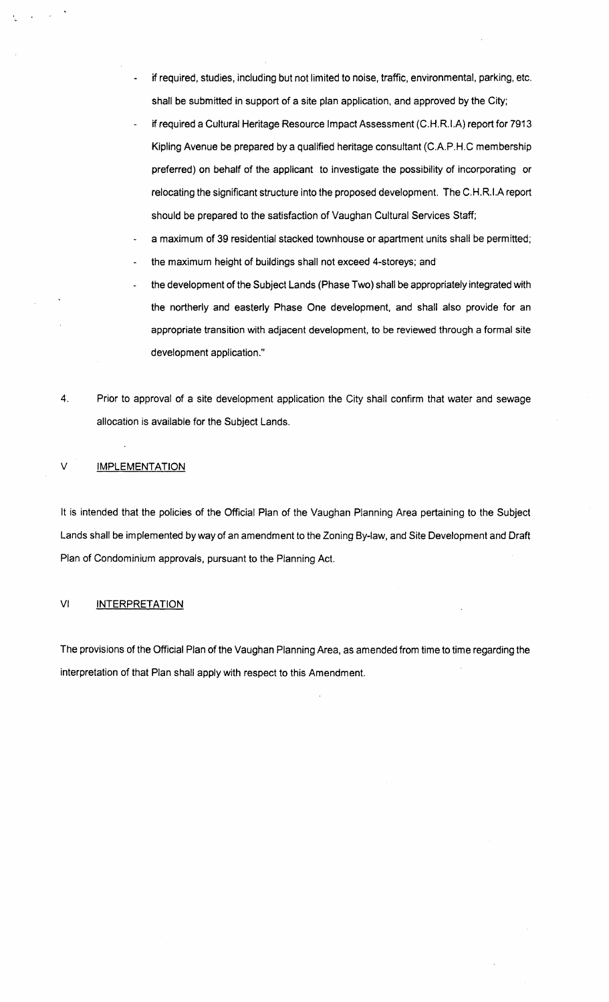- if required, studies, including but not limited to noise, traffic, environmental, parking, etc. shall be submitted in support of a site plan application, and approved by the City;
- if required a Cultural Heritage Resource Impact Assessment (C.H.R.I.A) report for 7913 Kipling Avenue be prepared by a qualified heritage consultant (C.A.P.H.C membership preferred) on behalf of the applicant to investigate the possibility of incorporating or relocating the significant structure into the proposed development. The C.H.R.I.A report should be prepared to the satisfaction of Vaughan Cultural Services Staff;
- a maximum of 39 residential stacked townhouse or apartment units shall be permitted;
- the maximum height of buildings shall not exceed 4-storeys; and
- the development of the Subject Lands (Phase Two) shall be appropriately integrated with the northerly and easterly Phase One development, and shall also provide for an appropriate transition with adjacent development, to be reviewed through a formal site development application."
- 4. Prior to approval of a site development application the City shall confirm that water and sewage allocation is available for the Subject Lands.

#### V **IMPLEMENTATION**

It is intended that the policies of the Official Plan of the Vaughan Planning Area pertaining to the Subject Lands shall be implemented by way of an amendment to the Zoning By-law, and Site Development and Draft Plan of Condominium approvals, pursuant to the Planning Act.

#### VI INTERPRETATION

The provisions of the Official Plan of the Vaughan Planning Area, as amended from time to time regarding the interpretation of that Plan shall apply with respect to this Amendment.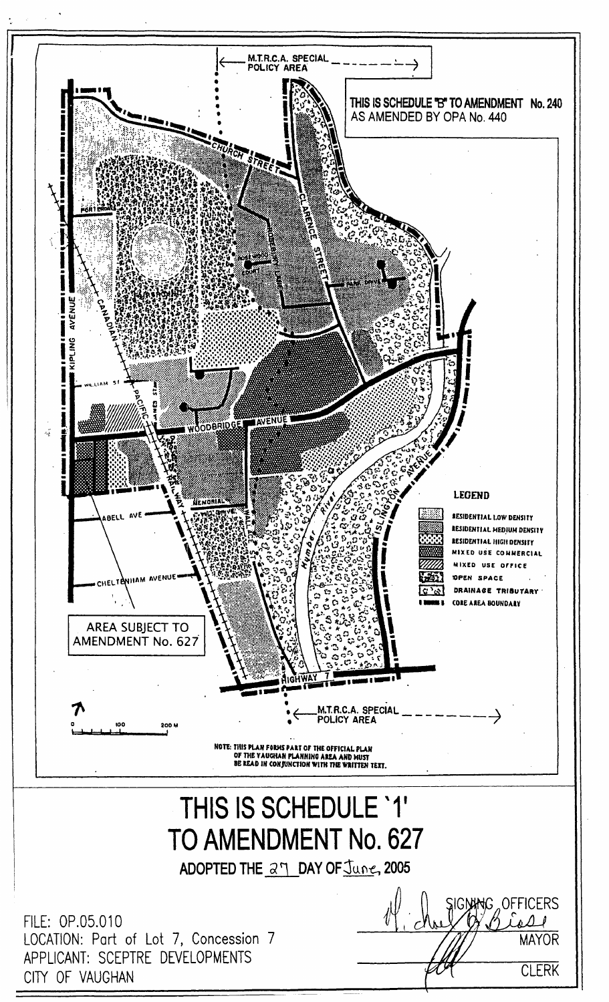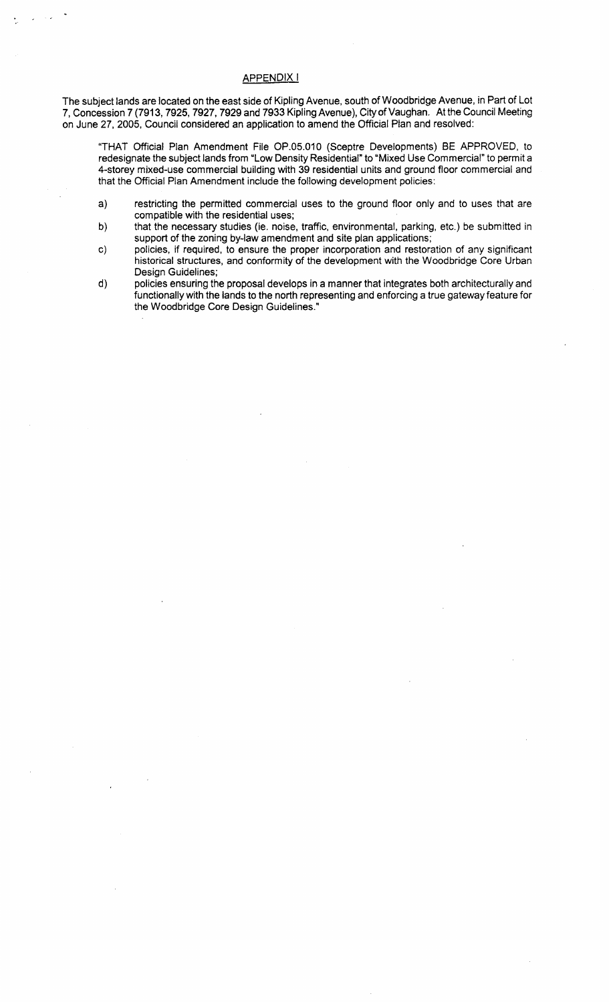# APPENDIX I

The subject lands are located on the east side of Kipling Avenue, south of Woodbridge Avenue, in Part of Lot 7, Concession 7 (7913, 7925, 7927, 7929 and 7933 Kipling Avenue), City of Vaughan. At the Council Meeting on June 27,2005, Council considered an application to amend the Official Plan and resolved:

"THAT Official Plan Amendment File OP.05.010 (Sceptre Developments) BE APPROVED, to redesignate the subject lands from "Low Density Residential" to "Mixed Use Commercial" to permit a 4-storey mixed-use commercial building with 39 residential units and ground floor commercial and that the Official Plan Amendment include the following development policies:

- a) restricting the permitted commercial uses to the ground floor only and to uses that are compatible with the residential uses;
- b) that the necessary studies (ie. noise, traffic, environmental, parking, etc.) be submitted in support of the zoning by-law amendment and site plan applications;
- c) policies, if required, to ensure the proper incorporation and restoration of any significant historical structures, and conformity of the development with the Woodbridge Core Urban Design Guidelines;
- d) policies ensuring the proposal develops in a manner that integrates both architecturally and functionally with the lands to the north representing and enforcing a true gateway feature for the Woodbridge Core DeSign Guidelines."